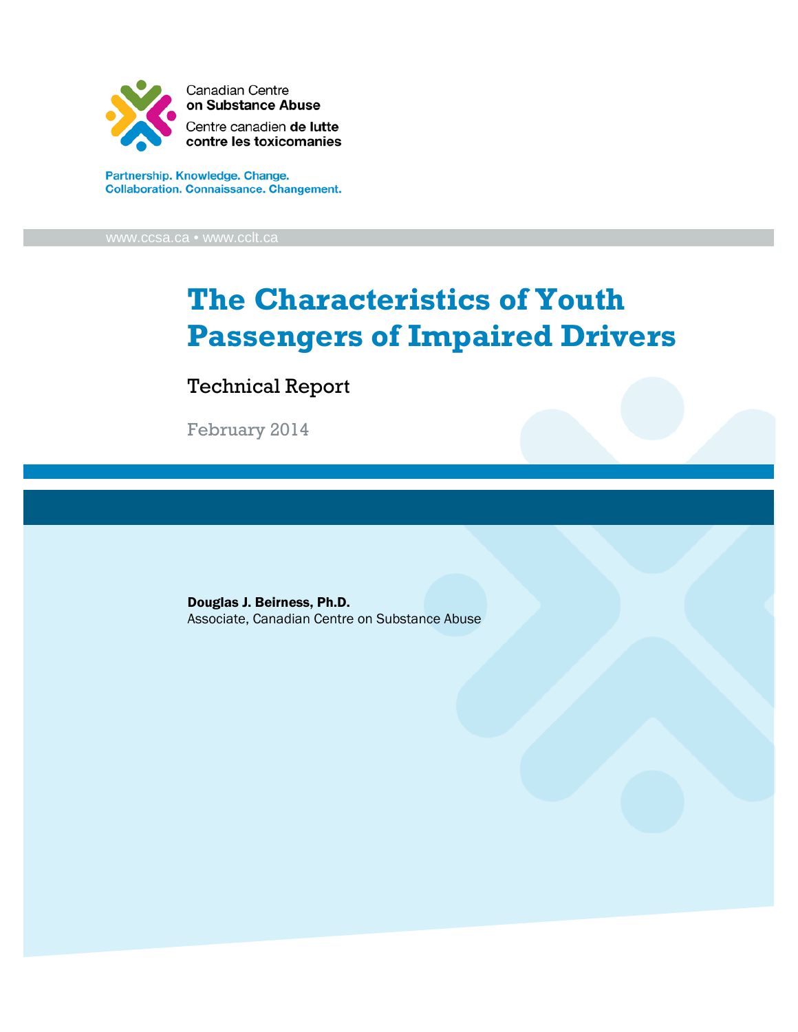

Partnership. Knowledge. Change. **Collaboration. Connaissance. Changement.** 

[www.ccsa.ca](http://www.ccsa.ca/) • www.cclt.ca

# **The Characteristics of Youth Passengers of Impaired Drivers**

Technical Report

February 2014

Douglas J. Beirness, Ph.D. Associate, Canadian Centre on Substance Abuse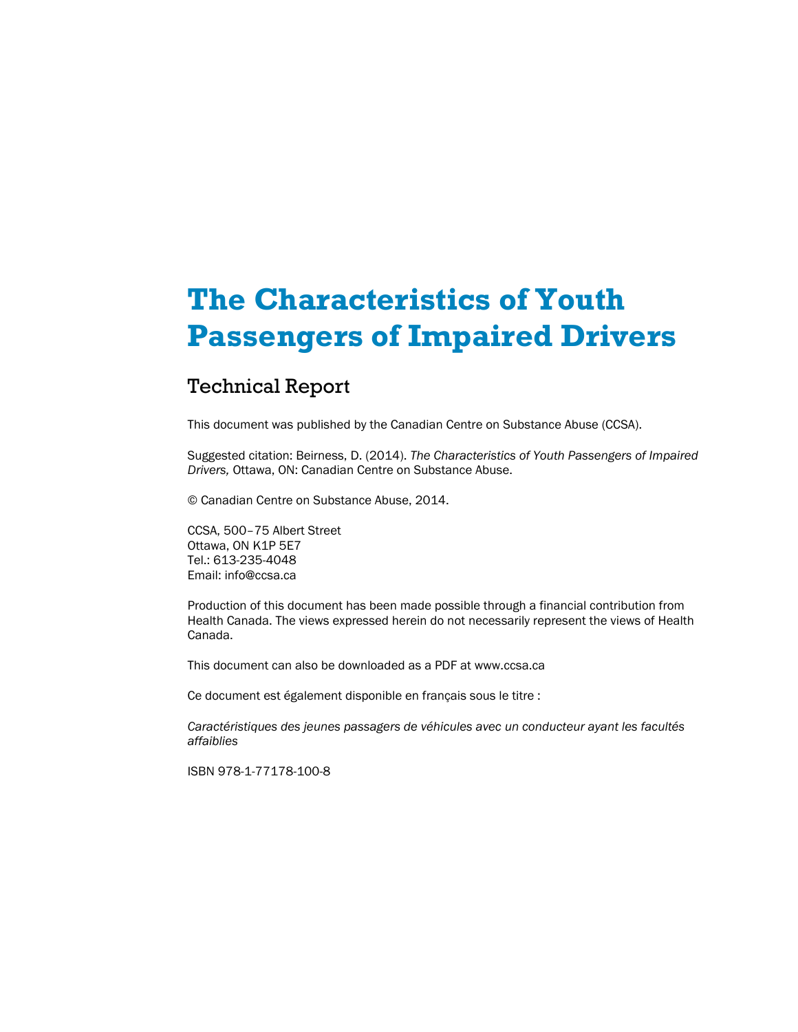# **The Characteristics of Youth Passengers of Impaired Drivers**

### Technical Report

This document was published by the Canadian Centre on Substance Abuse (CCSA).

Suggested citation: Beirness, D. (2014). *The Characteristics of Youth Passengers of Impaired Drivers,* Ottawa, ON: Canadian Centre on Substance Abuse.

© Canadian Centre on Substance Abuse, 2014.

CCSA, 500–75 Albert Street Ottawa, ON K1P 5E7 Tel.: 613-235-4048 Email: info@ccsa.ca

Production of this document has been made possible through a financial contribution from Health Canada. The views expressed herein do not necessarily represent the views of Health Canada.

This document can also be downloaded as a PDF at www.ccsa.ca

Ce document est également disponible en français sous le titre :

*Caractéristiques des jeunes passagers de véhicules avec un conducteur ayant les facultés affaiblies*

ISBN 978-1-77178-100-8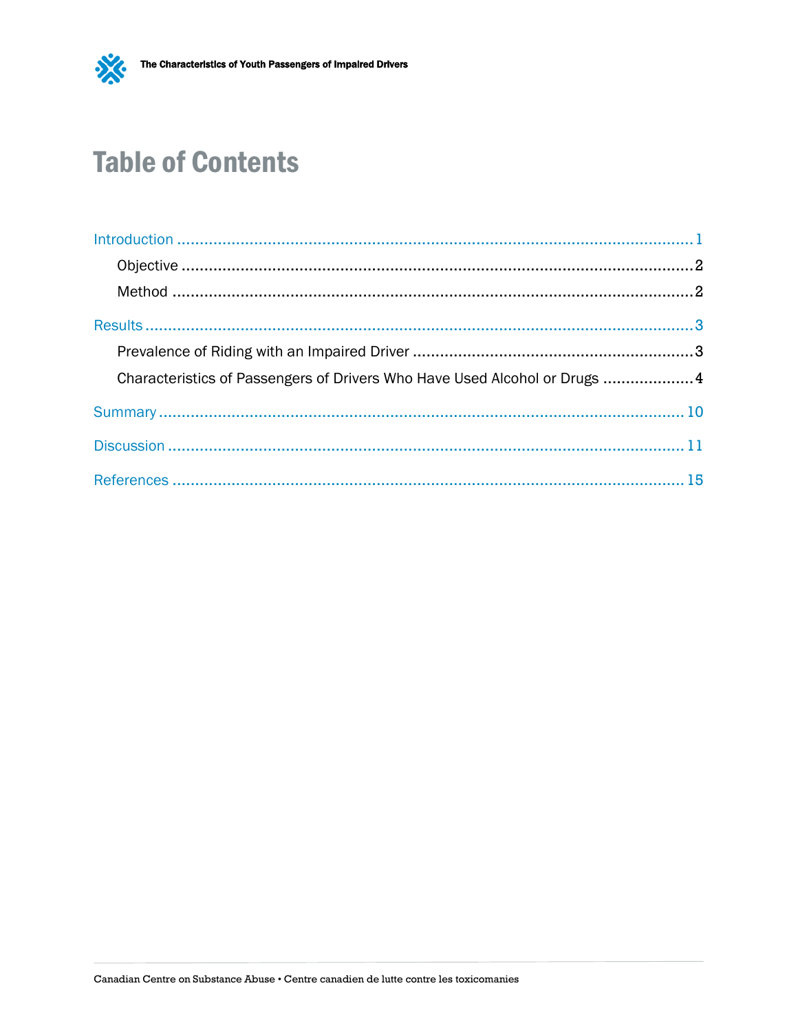

# **Table of Contents**

| Characteristics of Passengers of Drivers Who Have Used Alcohol or Drugs  4 |  |
|----------------------------------------------------------------------------|--|
|                                                                            |  |
|                                                                            |  |
|                                                                            |  |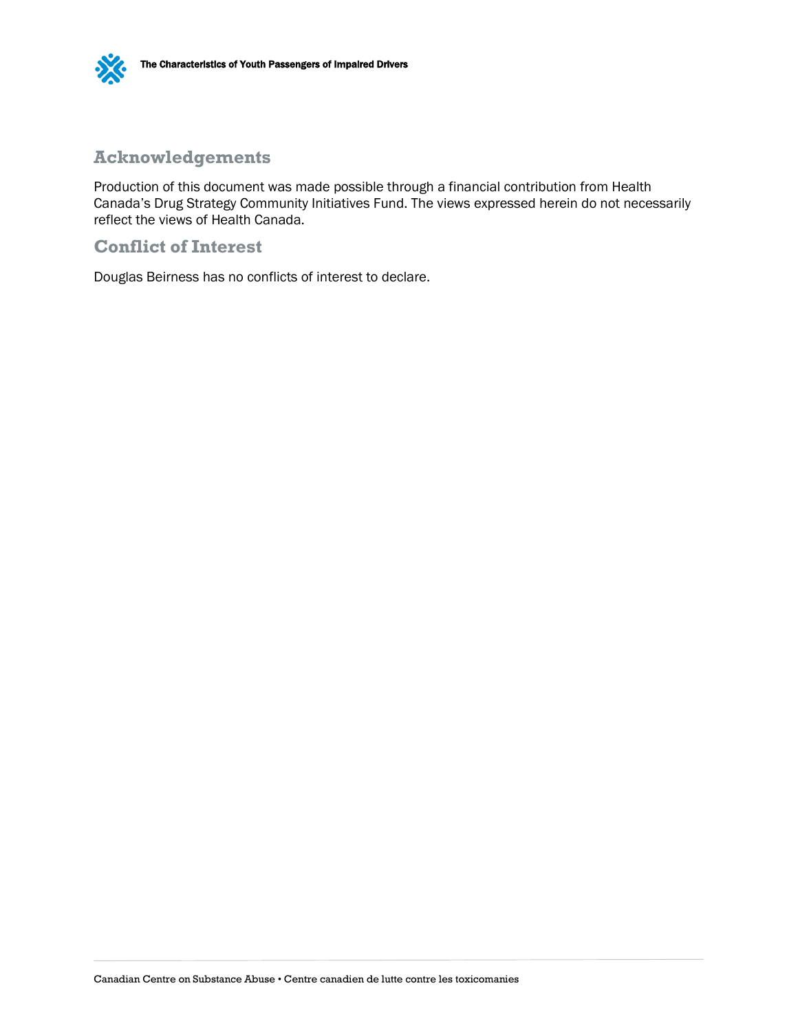

### **Acknowledgements**

Production of this document was made possible through a financial contribution from Health Canada's Drug Strategy Community Initiatives Fund. The views expressed herein do not necessarily reflect the views of Health Canada.

#### **Conflict of Interest**

Douglas Beirness has no conflicts of interest to declare.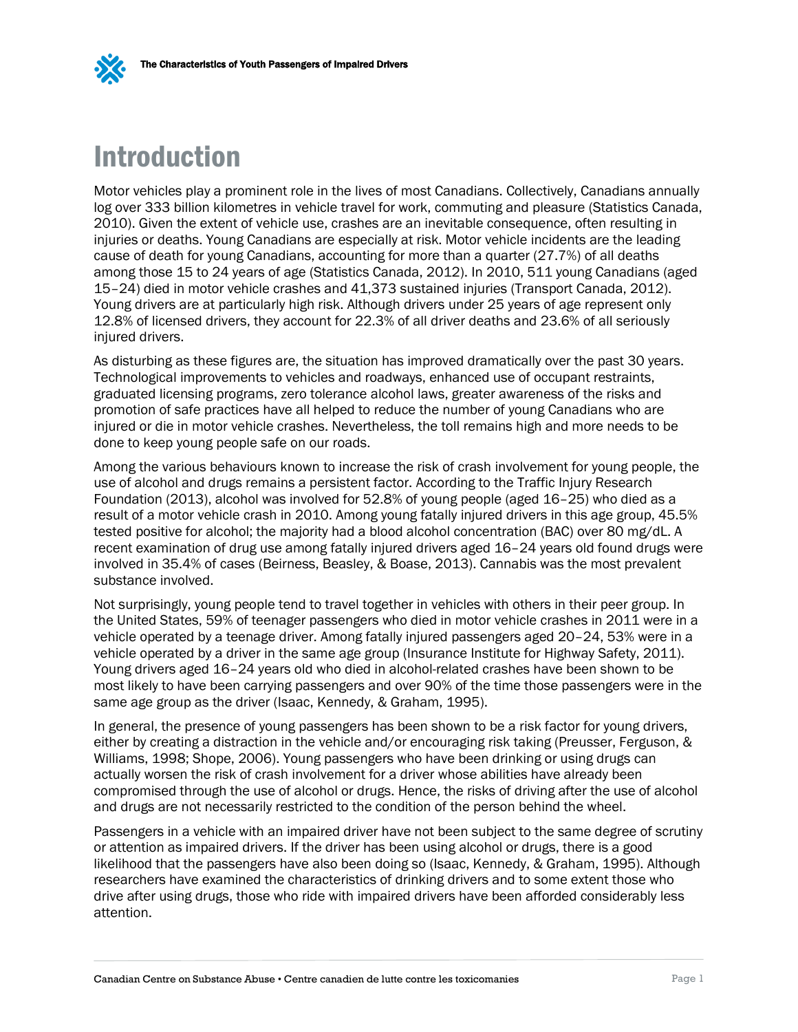

## <span id="page-4-0"></span>Introduction

Motor vehicles play a prominent role in the lives of most Canadians. Collectively, Canadians annually log over 333 billion kilometres in vehicle travel for work, commuting and pleasure (Statistics Canada, 2010). Given the extent of vehicle use, crashes are an inevitable consequence, often resulting in injuries or deaths. Young Canadians are especially at risk. Motor vehicle incidents are the leading cause of death for young Canadians, accounting for more than a quarter (27.7%) of all deaths among those 15 to 24 years of age (Statistics Canada, 2012). In 2010, 511 young Canadians (aged 15–24) died in motor vehicle crashes and 41,373 sustained injuries (Transport Canada, 2012). Young drivers are at particularly high risk. Although drivers under 25 years of age represent only 12.8% of licensed drivers, they account for 22.3% of all driver deaths and 23.6% of all seriously injured drivers.

As disturbing as these figures are, the situation has improved dramatically over the past 30 years. Technological improvements to vehicles and roadways, enhanced use of occupant restraints, graduated licensing programs, zero tolerance alcohol laws, greater awareness of the risks and promotion of safe practices have all helped to reduce the number of young Canadians who are injured or die in motor vehicle crashes. Nevertheless, the toll remains high and more needs to be done to keep young people safe on our roads.

Among the various behaviours known to increase the risk of crash involvement for young people, the use of alcohol and drugs remains a persistent factor. According to the Traffic Injury Research Foundation (2013), alcohol was involved for 52.8% of young people (aged 16–25) who died as a result of a motor vehicle crash in 2010. Among young fatally injured drivers in this age group, 45.5% tested positive for alcohol; the majority had a blood alcohol concentration (BAC) over 80 mg/dL. A recent examination of drug use among fatally injured drivers aged 16–24 years old found drugs were involved in 35.4% of cases (Beirness, Beasley, & Boase, 2013). Cannabis was the most prevalent substance involved.

Not surprisingly, young people tend to travel together in vehicles with others in their peer group. In the United States, 59% of teenager passengers who died in motor vehicle crashes in 2011 were in a vehicle operated by a teenage driver. Among fatally injured passengers aged 20–24, 53% were in a vehicle operated by a driver in the same age group (Insurance Institute for Highway Safety, 2011). Young drivers aged 16–24 years old who died in alcohol-related crashes have been shown to be most likely to have been carrying passengers and over 90% of the time those passengers were in the same age group as the driver (Isaac, Kennedy, & Graham, 1995).

In general, the presence of young passengers has been shown to be a risk factor for young drivers, either by creating a distraction in the vehicle and/or encouraging risk taking (Preusser, Ferguson, & Williams, 1998; Shope, 2006). Young passengers who have been drinking or using drugs can actually worsen the risk of crash involvement for a driver whose abilities have already been compromised through the use of alcohol or drugs. Hence, the risks of driving after the use of alcohol and drugs are not necessarily restricted to the condition of the person behind the wheel.

Passengers in a vehicle with an impaired driver have not been subject to the same degree of scrutiny or attention as impaired drivers. If the driver has been using alcohol or drugs, there is a good likelihood that the passengers have also been doing so (Isaac, Kennedy, & Graham, 1995). Although researchers have examined the characteristics of drinking drivers and to some extent those who drive after using drugs, those who ride with impaired drivers have been afforded considerably less attention.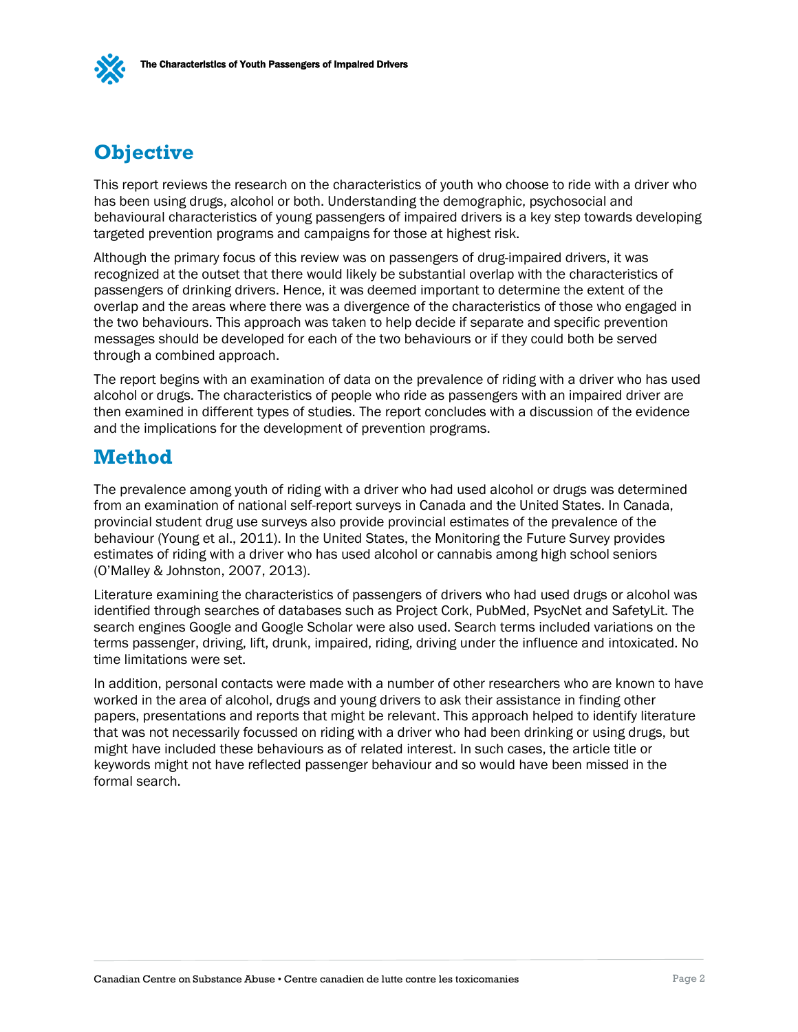

### <span id="page-5-0"></span>**Objective**

This report reviews the research on the characteristics of youth who choose to ride with a driver who has been using drugs, alcohol or both. Understanding the demographic, psychosocial and behavioural characteristics of young passengers of impaired drivers is a key step towards developing targeted prevention programs and campaigns for those at highest risk.

Although the primary focus of this review was on passengers of drug-impaired drivers, it was recognized at the outset that there would likely be substantial overlap with the characteristics of passengers of drinking drivers. Hence, it was deemed important to determine the extent of the overlap and the areas where there was a divergence of the characteristics of those who engaged in the two behaviours. This approach was taken to help decide if separate and specific prevention messages should be developed for each of the two behaviours or if they could both be served through a combined approach.

The report begins with an examination of data on the prevalence of riding with a driver who has used alcohol or drugs. The characteristics of people who ride as passengers with an impaired driver are then examined in different types of studies. The report concludes with a discussion of the evidence and the implications for the development of prevention programs.

### <span id="page-5-1"></span>**Method**

The prevalence among youth of riding with a driver who had used alcohol or drugs was determined from an examination of national self-report surveys in Canada and the United States. In Canada, provincial student drug use surveys also provide provincial estimates of the prevalence of the behaviour (Young et al., 2011). In the United States, the Monitoring the Future Survey provides estimates of riding with a driver who has used alcohol or cannabis among high school seniors (O'Malley & Johnston, 2007, 2013).

Literature examining the characteristics of passengers of drivers who had used drugs or alcohol was identified through searches of databases such as Project Cork, PubMed, PsycNet and SafetyLit. The search engines Google and Google Scholar were also used. Search terms included variations on the terms passenger, driving, lift, drunk, impaired, riding, driving under the influence and intoxicated. No time limitations were set.

In addition, personal contacts were made with a number of other researchers who are known to have worked in the area of alcohol, drugs and young drivers to ask their assistance in finding other papers, presentations and reports that might be relevant. This approach helped to identify literature that was not necessarily focussed on riding with a driver who had been drinking or using drugs, but might have included these behaviours as of related interest. In such cases, the article title or keywords might not have reflected passenger behaviour and so would have been missed in the formal search.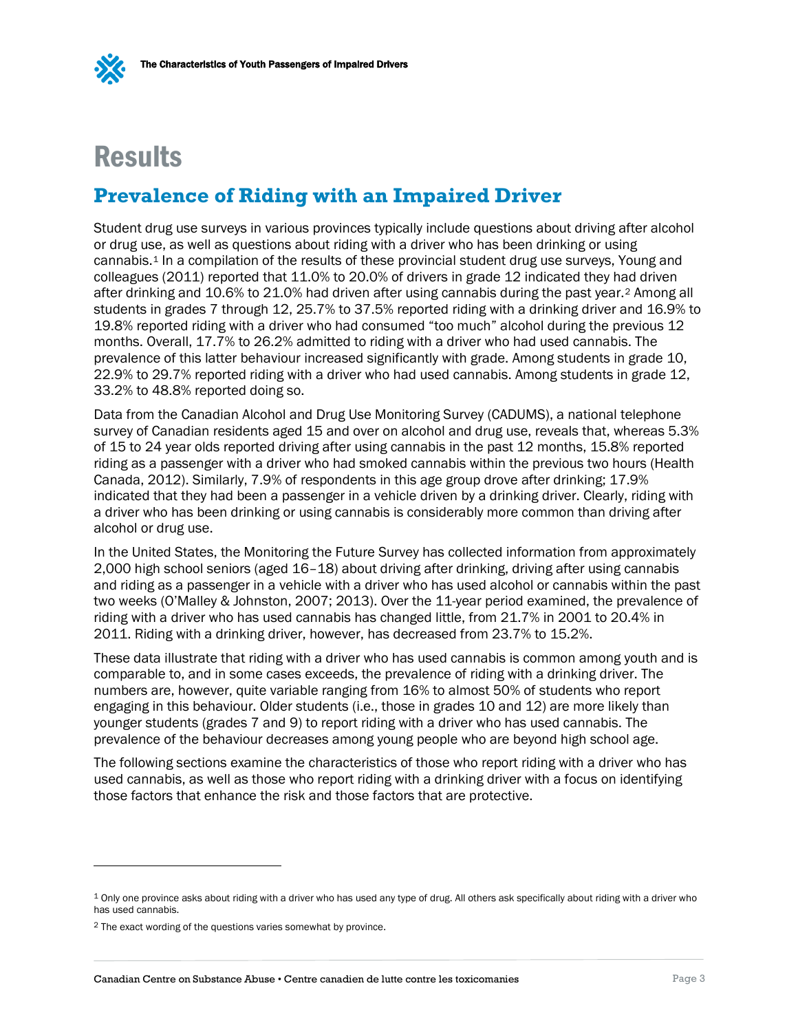

## <span id="page-6-0"></span>**Results**

### <span id="page-6-1"></span>**Prevalence of Riding with an Impaired Driver**

Student drug use surveys in various provinces typically include questions about driving after alcohol or drug use, as well as questions about riding with a driver who has been drinking or using cannabis[.1](#page-6-2) In a compilation of the results of these provincial student drug use surveys, Young and colleagues (2011) reported that 11.0% to 20.0% of drivers in grade 12 indicated they had driven after drinking and 10.6% to 21.0% had driven after using cannabis during the past year.[2](#page-6-3) Among all students in grades 7 through 12, 25.7% to 37.5% reported riding with a drinking driver and 16.9% to 19.8% reported riding with a driver who had consumed "too much" alcohol during the previous 12 months. Overall, 17.7% to 26.2% admitted to riding with a driver who had used cannabis. The prevalence of this latter behaviour increased significantly with grade. Among students in grade 10, 22.9% to 29.7% reported riding with a driver who had used cannabis. Among students in grade 12, 33.2% to 48.8% reported doing so.

Data from the Canadian Alcohol and Drug Use Monitoring Survey (CADUMS), a national telephone survey of Canadian residents aged 15 and over on alcohol and drug use, reveals that, whereas 5.3% of 15 to 24 year olds reported driving after using cannabis in the past 12 months, 15.8% reported riding as a passenger with a driver who had smoked cannabis within the previous two hours (Health Canada, 2012). Similarly, 7.9% of respondents in this age group drove after drinking; 17.9% indicated that they had been a passenger in a vehicle driven by a drinking driver. Clearly, riding with a driver who has been drinking or using cannabis is considerably more common than driving after alcohol or drug use.

In the United States, the Monitoring the Future Survey has collected information from approximately 2,000 high school seniors (aged 16–18) about driving after drinking, driving after using cannabis and riding as a passenger in a vehicle with a driver who has used alcohol or cannabis within the past two weeks (O'Malley & Johnston, 2007; 2013). Over the 11-year period examined, the prevalence of riding with a driver who has used cannabis has changed little, from 21.7% in 2001 to 20.4% in 2011. Riding with a drinking driver, however, has decreased from 23.7% to 15.2%.

These data illustrate that riding with a driver who has used cannabis is common among youth and is comparable to, and in some cases exceeds, the prevalence of riding with a drinking driver. The numbers are, however, quite variable ranging from 16% to almost 50% of students who report engaging in this behaviour. Older students (i.e., those in grades 10 and 12) are more likely than younger students (grades 7 and 9) to report riding with a driver who has used cannabis. The prevalence of the behaviour decreases among young people who are beyond high school age.

The following sections examine the characteristics of those who report riding with a driver who has used cannabis, as well as those who report riding with a drinking driver with a focus on identifying those factors that enhance the risk and those factors that are protective.

 $\overline{a}$ 

<span id="page-6-2"></span><sup>1</sup> Only one province asks about riding with a driver who has used any type of drug. All others ask specifically about riding with a driver who has used cannabis.

<span id="page-6-3"></span><sup>2</sup> The exact wording of the questions varies somewhat by province.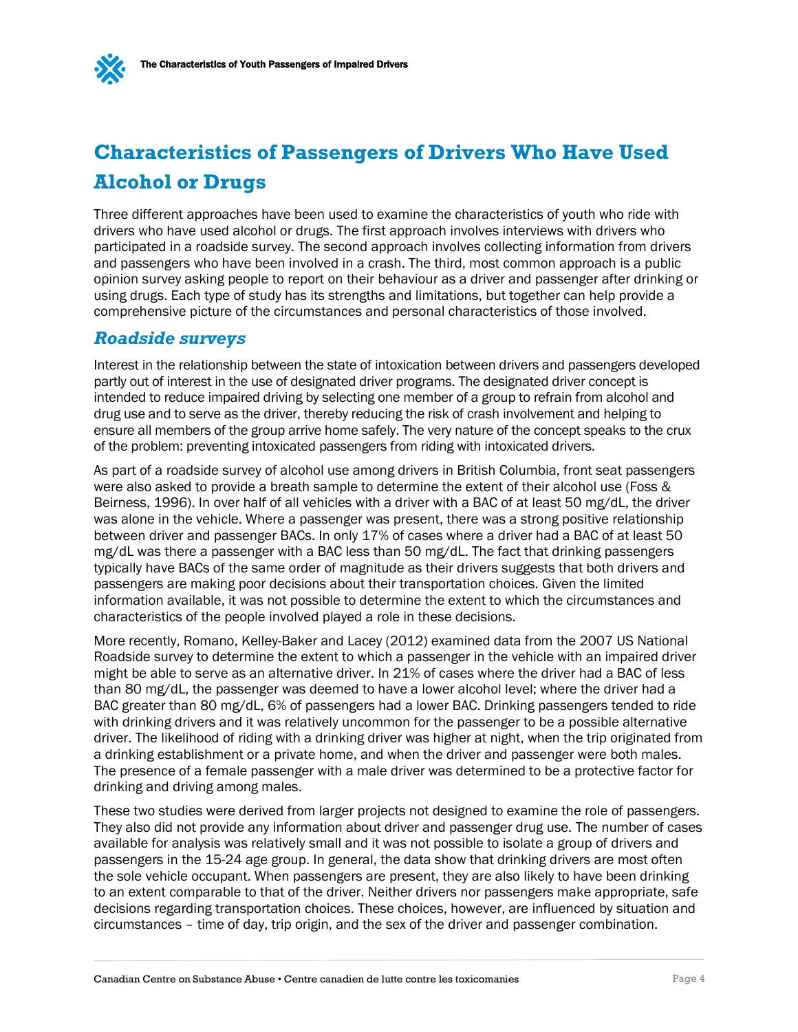



## <span id="page-7-0"></span>**Characteristics of Passengers of Drivers Who Have Used Alcohol or Drugs**

Three different approaches have been used to examine the characteristics of youth who ride with drivers who have used alcohol or drugs. The first approach involves interviews with drivers who participated in a roadside survey. The second approach involves collecting information from drivers and passengers who have been involved in a crash. The third, most common approach is a public opinion survey asking people to report on their behaviour as a driver and passenger after drinking or using drugs. Each type of study has its strengths and limitations, but together can help provide a comprehensive picture of the circumstances and personal characteristics of those involved.

### *Roadside surveys*

Interest in the relationship between the state of intoxication between drivers and passengers developed partly out of interest in the use of designated driver programs. The designated driver concept is intended to reduce impaired driving by selecting one member of a group to refrain from alcohol and drug use and to serve as the driver, thereby reducing the risk of crash involvement and helping to ensure all members of the group arrive home safely. The very nature of the concept speaks to the crux of the problem: preventing intoxicated passengers from riding with intoxicated drivers.

As part of a roadside survey of alcohol use among drivers in British Columbia, front seat passengers were also asked to provide a breath sample to determine the extent of their alcohol use (Foss & Beirness, 1996). In over half of all vehicles with a driver with a BAC of at least 50 mg/dL, the driver was alone in the vehicle. Where a passenger was present, there was a strong positive relationship between driver and passenger BACs. In only 17% of cases where a driver had a BAC of at least 50 mg/dL was there a passenger with a BAC less than 50 mg/dL. The fact that drinking passengers typically have BACs of the same order of magnitude as their drivers suggests that both drivers and passengers are making poor decisions about their transportation choices. Given the limited information available, it was not possible to determine the extent to which the circumstances and characteristics of the people involved played a role in these decisions.

More recently, Romano, Kelley-Baker and Lacey (2012) examined data from the 2007 US National Roadside survey to determine the extent to which a passenger in the vehicle with an impaired driver might be able to serve as an alternative driver. In 21% of cases where the driver had a BAC of less than 80 mg/dL, the passenger was deemed to have a lower alcohol level; where the driver had a BAC greater than 80 mg/dL, 6% of passengers had a lower BAC. Drinking passengers tended to ride with drinking drivers and it was relatively uncommon for the passenger to be a possible alternative driver. The likelihood of riding with a drinking driver was higher at night, when the trip originated from a drinking establishment or a private home, and when the driver and passenger were both males. The presence of a female passenger with a male driver was determined to be a protective factor for drinking and driving among males.

These two studies were derived from larger projects not designed to examine the role of passengers. They also did not provide any information about driver and passenger drug use. The number of cases available for analysis was relatively small and it was not possible to isolate a group of drivers and passengers in the 15-24 age group. In general, the data show that drinking drivers are most often the sole vehicle occupant. When passengers are present, they are also likely to have been drinking to an extent comparable to that of the driver. Neither drivers nor passengers make appropriate, safe decisions regarding transportation choices. These choices, however, are influenced by situation and circumstances – time of day, trip origin, and the sex of the driver and passenger combination.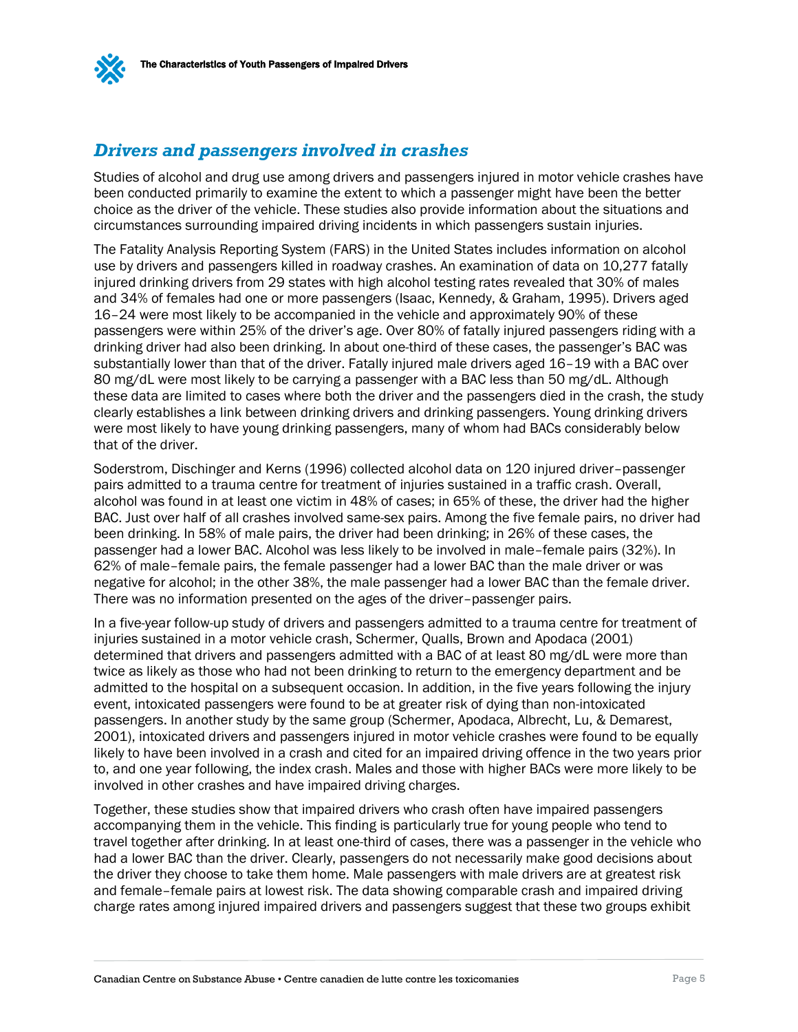

### *Drivers and passengers involved in crashes*

Studies of alcohol and drug use among drivers and passengers injured in motor vehicle crashes have been conducted primarily to examine the extent to which a passenger might have been the better choice as the driver of the vehicle. These studies also provide information about the situations and circumstances surrounding impaired driving incidents in which passengers sustain injuries.

The Fatality Analysis Reporting System (FARS) in the United States includes information on alcohol use by drivers and passengers killed in roadway crashes. An examination of data on 10,277 fatally injured drinking drivers from 29 states with high alcohol testing rates revealed that 30% of males and 34% of females had one or more passengers (Isaac, Kennedy, & Graham, 1995). Drivers aged 16–24 were most likely to be accompanied in the vehicle and approximately 90% of these passengers were within 25% of the driver's age. Over 80% of fatally injured passengers riding with a drinking driver had also been drinking. In about one-third of these cases, the passenger's BAC was substantially lower than that of the driver. Fatally injured male drivers aged 16–19 with a BAC over 80 mg/dL were most likely to be carrying a passenger with a BAC less than 50 mg/dL. Although these data are limited to cases where both the driver and the passengers died in the crash, the study clearly establishes a link between drinking drivers and drinking passengers. Young drinking drivers were most likely to have young drinking passengers, many of whom had BACs considerably below that of the driver.

Soderstrom, Dischinger and Kerns (1996) collected alcohol data on 120 injured driver–passenger pairs admitted to a trauma centre for treatment of injuries sustained in a traffic crash. Overall, alcohol was found in at least one victim in 48% of cases; in 65% of these, the driver had the higher BAC. Just over half of all crashes involved same-sex pairs. Among the five female pairs, no driver had been drinking. In 58% of male pairs, the driver had been drinking; in 26% of these cases, the passenger had a lower BAC. Alcohol was less likely to be involved in male–female pairs (32%). In 62% of male–female pairs, the female passenger had a lower BAC than the male driver or was negative for alcohol; in the other 38%, the male passenger had a lower BAC than the female driver. There was no information presented on the ages of the driver–passenger pairs.

In a five-year follow-up study of drivers and passengers admitted to a trauma centre for treatment of injuries sustained in a motor vehicle crash, Schermer, Qualls, Brown and Apodaca (2001) determined that drivers and passengers admitted with a BAC of at least 80 mg/dL were more than twice as likely as those who had not been drinking to return to the emergency department and be admitted to the hospital on a subsequent occasion. In addition, in the five years following the injury event, intoxicated passengers were found to be at greater risk of dying than non-intoxicated passengers. In another study by the same group (Schermer, Apodaca, Albrecht, Lu, & Demarest, 2001), intoxicated drivers and passengers injured in motor vehicle crashes were found to be equally likely to have been involved in a crash and cited for an impaired driving offence in the two years prior to, and one year following, the index crash. Males and those with higher BACs were more likely to be involved in other crashes and have impaired driving charges.

Together, these studies show that impaired drivers who crash often have impaired passengers accompanying them in the vehicle. This finding is particularly true for young people who tend to travel together after drinking. In at least one-third of cases, there was a passenger in the vehicle who had a lower BAC than the driver. Clearly, passengers do not necessarily make good decisions about the driver they choose to take them home. Male passengers with male drivers are at greatest risk and female–female pairs at lowest risk. The data showing comparable crash and impaired driving charge rates among injured impaired drivers and passengers suggest that these two groups exhibit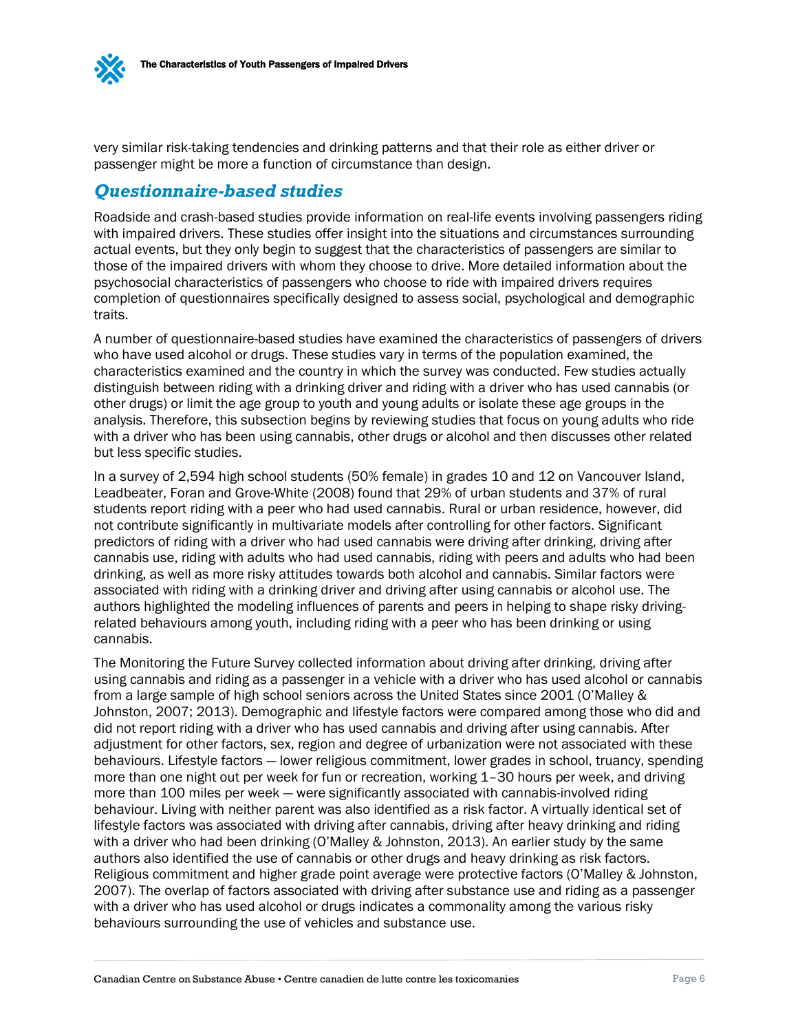

very similar risk-taking tendencies and drinking patterns and that their role as either driver or passenger might be more a function of circumstance than design.

### *Questionnaire-based studies*

Roadside and crash-based studies provide information on real-life events involving passengers riding with impaired drivers. These studies offer insight into the situations and circumstances surrounding actual events, but they only begin to suggest that the characteristics of passengers are similar to those of the impaired drivers with whom they choose to drive. More detailed information about the psychosocial characteristics of passengers who choose to ride with impaired drivers requires completion of questionnaires specifically designed to assess social, psychological and demographic traits.

A number of questionnaire-based studies have examined the characteristics of passengers of drivers who have used alcohol or drugs. These studies vary in terms of the population examined, the characteristics examined and the country in which the survey was conducted. Few studies actually distinguish between riding with a drinking driver and riding with a driver who has used cannabis (or other drugs) or limit the age group to youth and young adults or isolate these age groups in the analysis. Therefore, this subsection begins by reviewing studies that focus on young adults who ride with a driver who has been using cannabis, other drugs or alcohol and then discusses other related but less specific studies.

In a survey of 2,594 high school students (50% female) in grades 10 and 12 on Vancouver Island, Leadbeater, Foran and Grove-White (2008) found that 29% of urban students and 37% of rural students report riding with a peer who had used cannabis. Rural or urban residence, however, did not contribute significantly in multivariate models after controlling for other factors. Significant predictors of riding with a driver who had used cannabis were driving after drinking, driving after cannabis use, riding with adults who had used cannabis, riding with peers and adults who had been drinking, as well as more risky attitudes towards both alcohol and cannabis. Similar factors were associated with riding with a drinking driver and driving after using cannabis or alcohol use. The authors highlighted the modeling influences of parents and peers in helping to shape risky drivingrelated behaviours among youth, including riding with a peer who has been drinking or using cannabis.

The Monitoring the Future Survey collected information about driving after drinking, driving after using cannabis and riding as a passenger in a vehicle with a driver who has used alcohol or cannabis from a large sample of high school seniors across the United States since 2001 (O'Malley & Johnston, 2007; 2013). Demographic and lifestyle factors were compared among those who did and did not report riding with a driver who has used cannabis and driving after using cannabis. After adjustment for other factors, sex, region and degree of urbanization were not associated with these behaviours. Lifestyle factors — lower religious commitment, lower grades in school, truancy, spending more than one night out per week for fun or recreation, working 1–30 hours per week, and driving more than 100 miles per week — were significantly associated with cannabis-involved riding behaviour. Living with neither parent was also identified as a risk factor. A virtually identical set of lifestyle factors was associated with driving after cannabis, driving after heavy drinking and riding with a driver who had been drinking (O'Malley & Johnston, 2013). An earlier study by the same authors also identified the use of cannabis or other drugs and heavy drinking as risk factors. Religious commitment and higher grade point average were protective factors (O'Malley & Johnston, 2007). The overlap of factors associated with driving after substance use and riding as a passenger with a driver who has used alcohol or drugs indicates a commonality among the various risky behaviours surrounding the use of vehicles and substance use.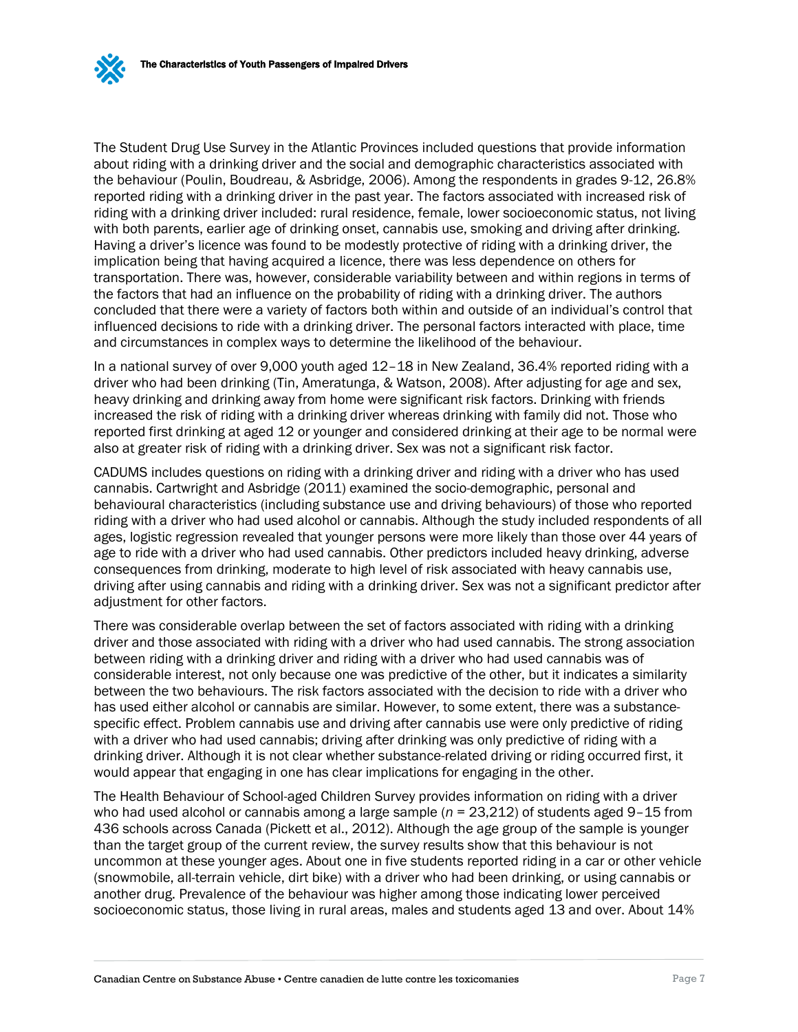The Student Drug Use Survey in the Atlantic Provinces included questions that provide information about riding with a drinking driver and the social and demographic characteristics associated with the behaviour (Poulin, Boudreau, & Asbridge, 2006). Among the respondents in grades 9-12, 26.8% reported riding with a drinking driver in the past year. The factors associated with increased risk of riding with a drinking driver included: rural residence, female, lower socioeconomic status, not living with both parents, earlier age of drinking onset, cannabis use, smoking and driving after drinking. Having a driver's licence was found to be modestly protective of riding with a drinking driver, the implication being that having acquired a licence, there was less dependence on others for transportation. There was, however, considerable variability between and within regions in terms of the factors that had an influence on the probability of riding with a drinking driver. The authors concluded that there were a variety of factors both within and outside of an individual's control that influenced decisions to ride with a drinking driver. The personal factors interacted with place, time and circumstances in complex ways to determine the likelihood of the behaviour.

In a national survey of over 9,000 youth aged 12–18 in New Zealand, 36.4% reported riding with a driver who had been drinking (Tin, Ameratunga, & Watson, 2008). After adjusting for age and sex, heavy drinking and drinking away from home were significant risk factors. Drinking with friends increased the risk of riding with a drinking driver whereas drinking with family did not. Those who reported first drinking at aged 12 or younger and considered drinking at their age to be normal were also at greater risk of riding with a drinking driver. Sex was not a significant risk factor.

CADUMS includes questions on riding with a drinking driver and riding with a driver who has used cannabis. Cartwright and Asbridge (2011) examined the socio-demographic, personal and behavioural characteristics (including substance use and driving behaviours) of those who reported riding with a driver who had used alcohol or cannabis. Although the study included respondents of all ages, logistic regression revealed that younger persons were more likely than those over 44 years of age to ride with a driver who had used cannabis. Other predictors included heavy drinking, adverse consequences from drinking, moderate to high level of risk associated with heavy cannabis use, driving after using cannabis and riding with a drinking driver. Sex was not a significant predictor after adjustment for other factors.

There was considerable overlap between the set of factors associated with riding with a drinking driver and those associated with riding with a driver who had used cannabis. The strong association between riding with a drinking driver and riding with a driver who had used cannabis was of considerable interest, not only because one was predictive of the other, but it indicates a similarity between the two behaviours. The risk factors associated with the decision to ride with a driver who has used either alcohol or cannabis are similar. However, to some extent, there was a substancespecific effect. Problem cannabis use and driving after cannabis use were only predictive of riding with a driver who had used cannabis; driving after drinking was only predictive of riding with a drinking driver. Although it is not clear whether substance-related driving or riding occurred first, it would appear that engaging in one has clear implications for engaging in the other.

The Health Behaviour of School-aged Children Survey provides information on riding with a driver who had used alcohol or cannabis among a large sample (*n* = 23,212) of students aged 9–15 from 436 schools across Canada (Pickett et al., 2012). Although the age group of the sample is younger than the target group of the current review, the survey results show that this behaviour is not uncommon at these younger ages. About one in five students reported riding in a car or other vehicle (snowmobile, all-terrain vehicle, dirt bike) with a driver who had been drinking, or using cannabis or another drug. Prevalence of the behaviour was higher among those indicating lower perceived socioeconomic status, those living in rural areas, males and students aged 13 and over. About 14%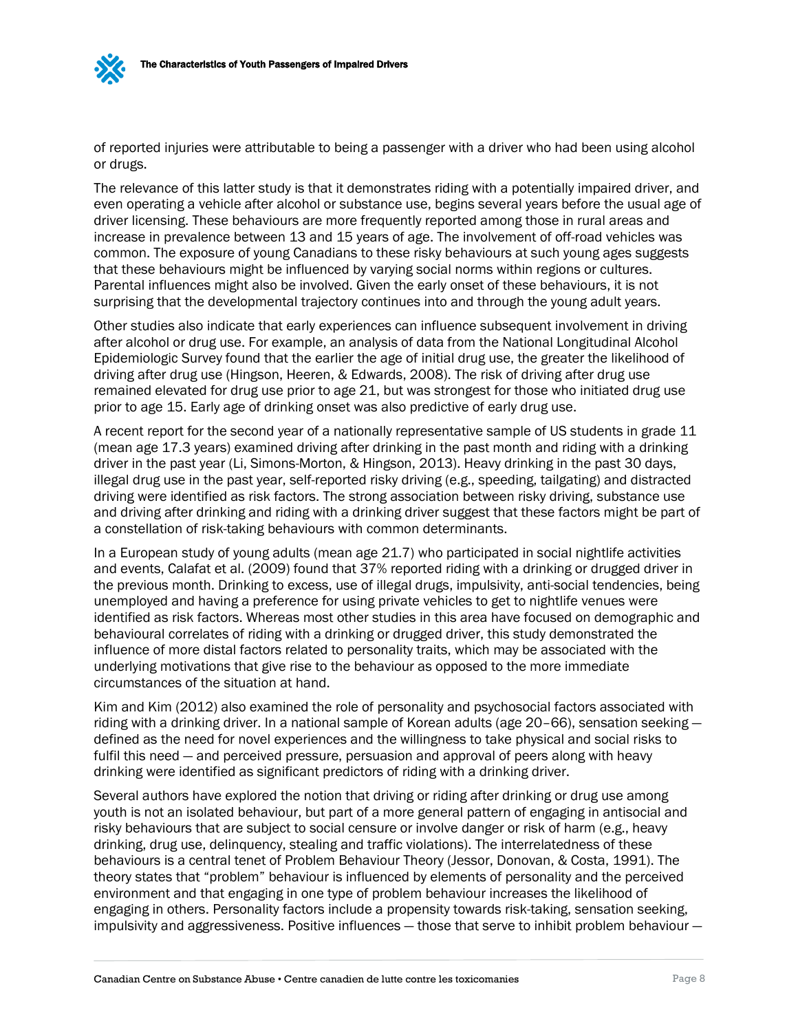of reported injuries were attributable to being a passenger with a driver who had been using alcohol or drugs.

The relevance of this latter study is that it demonstrates riding with a potentially impaired driver, and even operating a vehicle after alcohol or substance use, begins several years before the usual age of driver licensing. These behaviours are more frequently reported among those in rural areas and increase in prevalence between 13 and 15 years of age. The involvement of off-road vehicles was common. The exposure of young Canadians to these risky behaviours at such young ages suggests that these behaviours might be influenced by varying social norms within regions or cultures. Parental influences might also be involved. Given the early onset of these behaviours, it is not surprising that the developmental trajectory continues into and through the young adult years.

Other studies also indicate that early experiences can influence subsequent involvement in driving after alcohol or drug use. For example, an analysis of data from the National Longitudinal Alcohol Epidemiologic Survey found that the earlier the age of initial drug use, the greater the likelihood of driving after drug use (Hingson, Heeren, & Edwards, 2008). The risk of driving after drug use remained elevated for drug use prior to age 21, but was strongest for those who initiated drug use prior to age 15. Early age of drinking onset was also predictive of early drug use.

A recent report for the second year of a nationally representative sample of US students in grade 11 (mean age 17.3 years) examined driving after drinking in the past month and riding with a drinking driver in the past year (Li, Simons-Morton, & Hingson, 2013). Heavy drinking in the past 30 days, illegal drug use in the past year, self-reported risky driving (e.g., speeding, tailgating) and distracted driving were identified as risk factors. The strong association between risky driving, substance use and driving after drinking and riding with a drinking driver suggest that these factors might be part of a constellation of risk-taking behaviours with common determinants.

In a European study of young adults (mean age 21.7) who participated in social nightlife activities and events, Calafat et al. (2009) found that 37% reported riding with a drinking or drugged driver in the previous month. Drinking to excess, use of illegal drugs, impulsivity, anti-social tendencies, being unemployed and having a preference for using private vehicles to get to nightlife venues were identified as risk factors. Whereas most other studies in this area have focused on demographic and behavioural correlates of riding with a drinking or drugged driver, this study demonstrated the influence of more distal factors related to personality traits, which may be associated with the underlying motivations that give rise to the behaviour as opposed to the more immediate circumstances of the situation at hand.

Kim and Kim (2012) also examined the role of personality and psychosocial factors associated with riding with a drinking driver. In a national sample of Korean adults (age 20–66), sensation seeking defined as the need for novel experiences and the willingness to take physical and social risks to fulfil this need — and perceived pressure, persuasion and approval of peers along with heavy drinking were identified as significant predictors of riding with a drinking driver.

Several authors have explored the notion that driving or riding after drinking or drug use among youth is not an isolated behaviour, but part of a more general pattern of engaging in antisocial and risky behaviours that are subject to social censure or involve danger or risk of harm (e.g., heavy drinking, drug use, delinquency, stealing and traffic violations). The interrelatedness of these behaviours is a central tenet of Problem Behaviour Theory (Jessor, Donovan, & Costa, 1991). The theory states that "problem" behaviour is influenced by elements of personality and the perceived environment and that engaging in one type of problem behaviour increases the likelihood of engaging in others. Personality factors include a propensity towards risk-taking, sensation seeking, impulsivity and aggressiveness. Positive influences — those that serve to inhibit problem behaviour —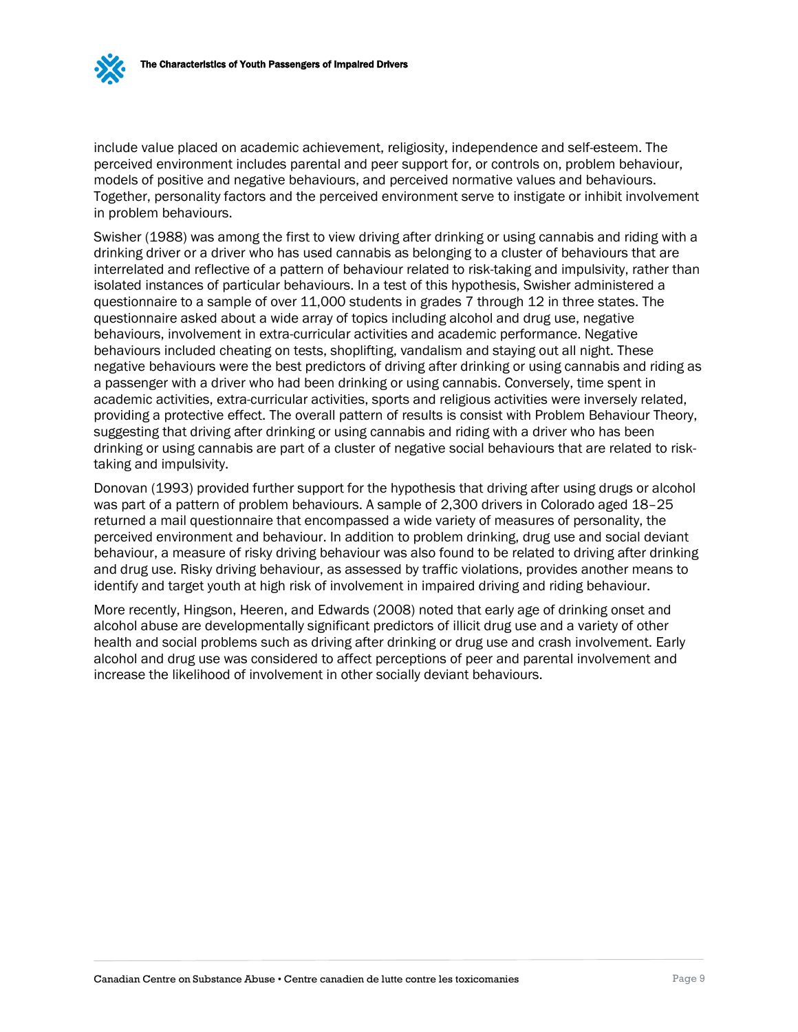include value placed on academic achievement, religiosity, independence and self-esteem. The perceived environment includes parental and peer support for, or controls on, problem behaviour, models of positive and negative behaviours, and perceived normative values and behaviours. Together, personality factors and the perceived environment serve to instigate or inhibit involvement in problem behaviours.

Swisher (1988) was among the first to view driving after drinking or using cannabis and riding with a drinking driver or a driver who has used cannabis as belonging to a cluster of behaviours that are interrelated and reflective of a pattern of behaviour related to risk-taking and impulsivity, rather than isolated instances of particular behaviours. In a test of this hypothesis, Swisher administered a questionnaire to a sample of over 11,000 students in grades 7 through 12 in three states. The questionnaire asked about a wide array of topics including alcohol and drug use, negative behaviours, involvement in extra-curricular activities and academic performance. Negative behaviours included cheating on tests, shoplifting, vandalism and staying out all night. These negative behaviours were the best predictors of driving after drinking or using cannabis and riding as a passenger with a driver who had been drinking or using cannabis. Conversely, time spent in academic activities, extra-curricular activities, sports and religious activities were inversely related, providing a protective effect. The overall pattern of results is consist with Problem Behaviour Theory, suggesting that driving after drinking or using cannabis and riding with a driver who has been drinking or using cannabis are part of a cluster of negative social behaviours that are related to risktaking and impulsivity.

Donovan (1993) provided further support for the hypothesis that driving after using drugs or alcohol was part of a pattern of problem behaviours. A sample of 2,300 drivers in Colorado aged 18–25 returned a mail questionnaire that encompassed a wide variety of measures of personality, the perceived environment and behaviour. In addition to problem drinking, drug use and social deviant behaviour, a measure of risky driving behaviour was also found to be related to driving after drinking and drug use. Risky driving behaviour, as assessed by traffic violations, provides another means to identify and target youth at high risk of involvement in impaired driving and riding behaviour.

More recently, Hingson, Heeren, and Edwards (2008) noted that early age of drinking onset and alcohol abuse are developmentally significant predictors of illicit drug use and a variety of other health and social problems such as driving after drinking or drug use and crash involvement. Early alcohol and drug use was considered to affect perceptions of peer and parental involvement and increase the likelihood of involvement in other socially deviant behaviours.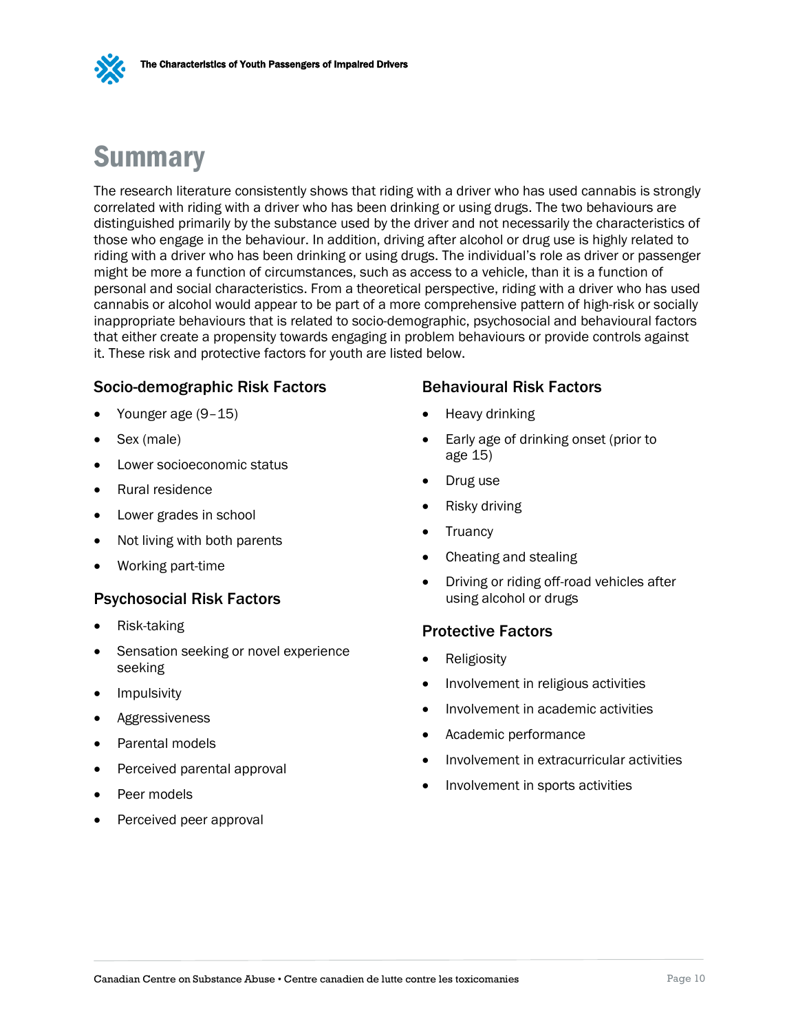

## <span id="page-13-0"></span>Summary

The research literature consistently shows that riding with a driver who has used cannabis is strongly correlated with riding with a driver who has been drinking or using drugs. The two behaviours are distinguished primarily by the substance used by the driver and not necessarily the characteristics of those who engage in the behaviour. In addition, driving after alcohol or drug use is highly related to riding with a driver who has been drinking or using drugs. The individual's role as driver or passenger might be more a function of circumstances, such as access to a vehicle, than it is a function of personal and social characteristics. From a theoretical perspective, riding with a driver who has used cannabis or alcohol would appear to be part of a more comprehensive pattern of high-risk or socially inappropriate behaviours that is related to socio-demographic, psychosocial and behavioural factors that either create a propensity towards engaging in problem behaviours or provide controls against it. These risk and protective factors for youth are listed below.

### Socio-demographic Risk Factors

- Younger age (9–15)
- Sex (male)
- Lower socioeconomic status
- Rural residence
- Lower grades in school
- Not living with both parents
- Working part-time

#### Psychosocial Risk Factors

- Risk-taking
- Sensation seeking or novel experience seeking
- Impulsivity
- Aggressiveness
- Parental models
- Perceived parental approval
- Peer models
- Perceived peer approval

### Behavioural Risk Factors

- Heavy drinking
- Early age of drinking onset (prior to age 15)
- Drug use
- Risky driving
- Truancy
- Cheating and stealing
- Driving or riding off-road vehicles after using alcohol or drugs

#### Protective Factors

- Religiosity
- Involvement in religious activities
- Involvement in academic activities
- Academic performance
- Involvement in extracurricular activities
- Involvement in sports activities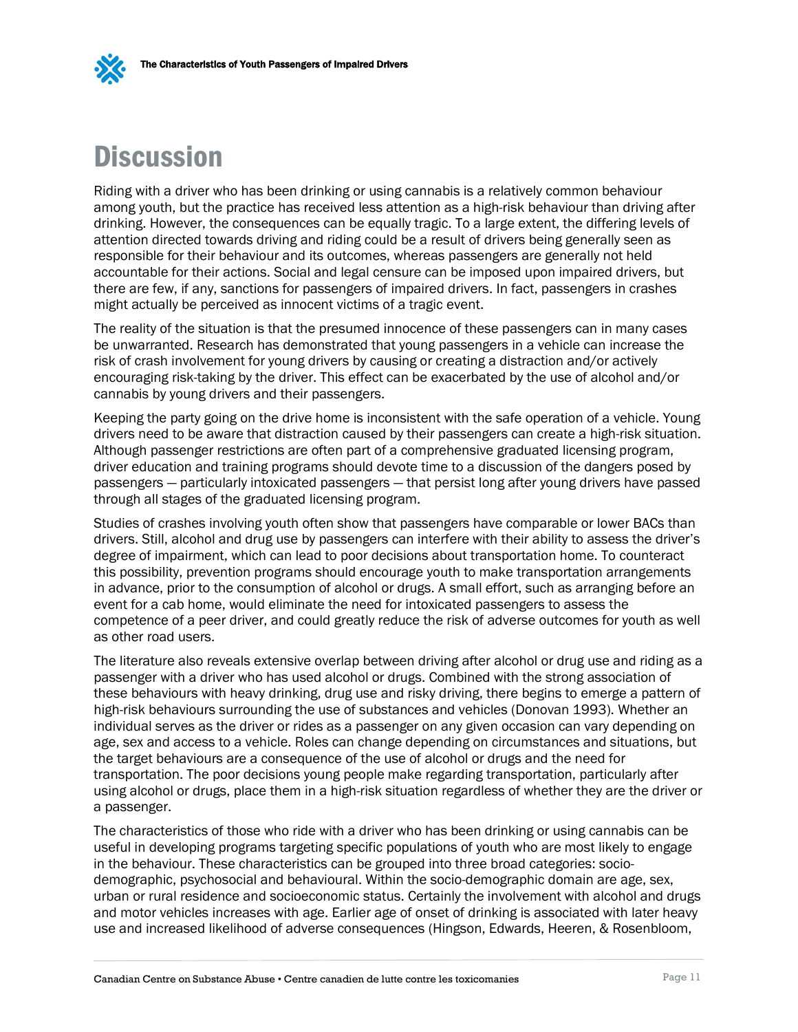<span id="page-14-0"></span>

Riding with a driver who has been drinking or using cannabis is a relatively common behaviour among youth, but the practice has received less attention as a high-risk behaviour than driving after drinking. However, the consequences can be equally tragic. To a large extent, the differing levels of attention directed towards driving and riding could be a result of drivers being generally seen as responsible for their behaviour and its outcomes, whereas passengers are generally not held accountable for their actions. Social and legal censure can be imposed upon impaired drivers, but there are few, if any, sanctions for passengers of impaired drivers. In fact, passengers in crashes might actually be perceived as innocent victims of a tragic event.

The reality of the situation is that the presumed innocence of these passengers can in many cases be unwarranted. Research has demonstrated that young passengers in a vehicle can increase the risk of crash involvement for young drivers by causing or creating a distraction and/or actively encouraging risk-taking by the driver. This effect can be exacerbated by the use of alcohol and/or cannabis by young drivers and their passengers.

Keeping the party going on the drive home is inconsistent with the safe operation of a vehicle. Young drivers need to be aware that distraction caused by their passengers can create a high-risk situation. Although passenger restrictions are often part of a comprehensive graduated licensing program, driver education and training programs should devote time to a discussion of the dangers posed by passengers — particularly intoxicated passengers — that persist long after young drivers have passed through all stages of the graduated licensing program.

Studies of crashes involving youth often show that passengers have comparable or lower BACs than drivers. Still, alcohol and drug use by passengers can interfere with their ability to assess the driver's degree of impairment, which can lead to poor decisions about transportation home. To counteract this possibility, prevention programs should encourage youth to make transportation arrangements in advance, prior to the consumption of alcohol or drugs. A small effort, such as arranging before an event for a cab home, would eliminate the need for intoxicated passengers to assess the competence of a peer driver, and could greatly reduce the risk of adverse outcomes for youth as well as other road users.

The literature also reveals extensive overlap between driving after alcohol or drug use and riding as a passenger with a driver who has used alcohol or drugs. Combined with the strong association of these behaviours with heavy drinking, drug use and risky driving, there begins to emerge a pattern of high-risk behaviours surrounding the use of substances and vehicles (Donovan 1993). Whether an individual serves as the driver or rides as a passenger on any given occasion can vary depending on age, sex and access to a vehicle. Roles can change depending on circumstances and situations, but the target behaviours are a consequence of the use of alcohol or drugs and the need for transportation. The poor decisions young people make regarding transportation, particularly after using alcohol or drugs, place them in a high-risk situation regardless of whether they are the driver or a passenger.

The characteristics of those who ride with a driver who has been drinking or using cannabis can be useful in developing programs targeting specific populations of youth who are most likely to engage in the behaviour. These characteristics can be grouped into three broad categories: sociodemographic, psychosocial and behavioural. Within the socio-demographic domain are age, sex, urban or rural residence and socioeconomic status. Certainly the involvement with alcohol and drugs and motor vehicles increases with age. Earlier age of onset of drinking is associated with later heavy use and increased likelihood of adverse consequences (Hingson, Edwards, Heeren, & Rosenbloom,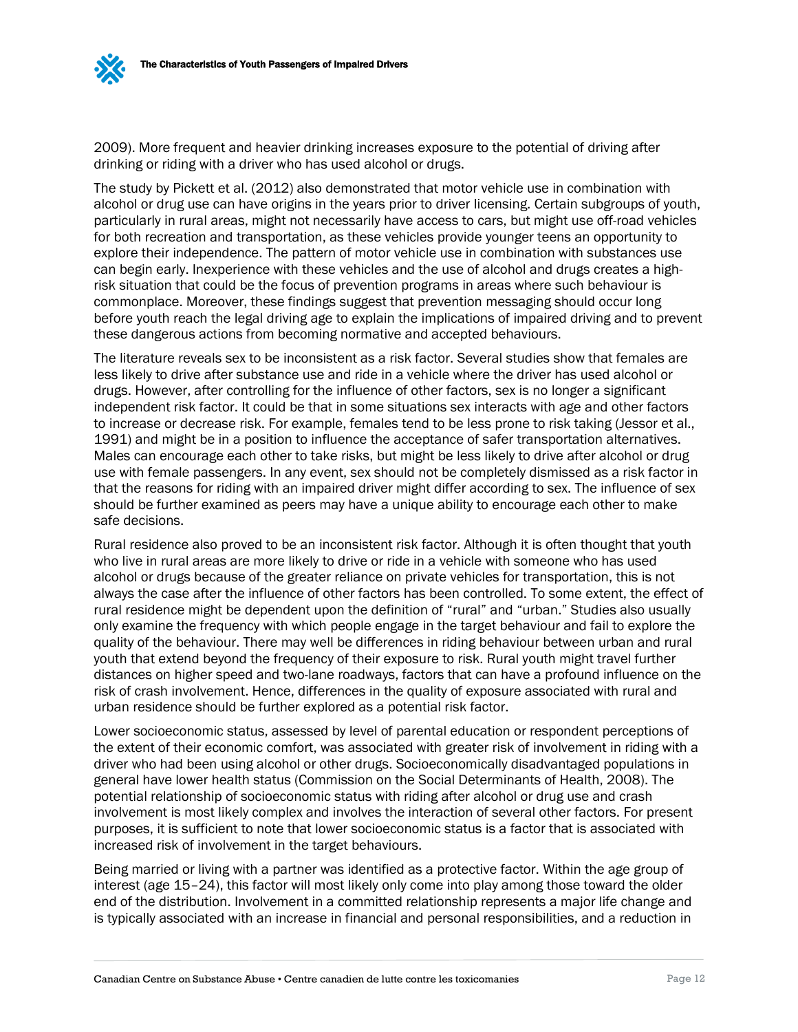2009). More frequent and heavier drinking increases exposure to the potential of driving after drinking or riding with a driver who has used alcohol or drugs.

The study by Pickett et al. (2012) also demonstrated that motor vehicle use in combination with alcohol or drug use can have origins in the years prior to driver licensing. Certain subgroups of youth, particularly in rural areas, might not necessarily have access to cars, but might use off-road vehicles for both recreation and transportation, as these vehicles provide younger teens an opportunity to explore their independence. The pattern of motor vehicle use in combination with substances use can begin early. Inexperience with these vehicles and the use of alcohol and drugs creates a highrisk situation that could be the focus of prevention programs in areas where such behaviour is commonplace. Moreover, these findings suggest that prevention messaging should occur long before youth reach the legal driving age to explain the implications of impaired driving and to prevent these dangerous actions from becoming normative and accepted behaviours.

The literature reveals sex to be inconsistent as a risk factor. Several studies show that females are less likely to drive after substance use and ride in a vehicle where the driver has used alcohol or drugs. However, after controlling for the influence of other factors, sex is no longer a significant independent risk factor. It could be that in some situations sex interacts with age and other factors to increase or decrease risk. For example, females tend to be less prone to risk taking (Jessor et al., 1991) and might be in a position to influence the acceptance of safer transportation alternatives. Males can encourage each other to take risks, but might be less likely to drive after alcohol or drug use with female passengers. In any event, sex should not be completely dismissed as a risk factor in that the reasons for riding with an impaired driver might differ according to sex. The influence of sex should be further examined as peers may have a unique ability to encourage each other to make safe decisions.

Rural residence also proved to be an inconsistent risk factor. Although it is often thought that youth who live in rural areas are more likely to drive or ride in a vehicle with someone who has used alcohol or drugs because of the greater reliance on private vehicles for transportation, this is not always the case after the influence of other factors has been controlled. To some extent, the effect of rural residence might be dependent upon the definition of "rural" and "urban." Studies also usually only examine the frequency with which people engage in the target behaviour and fail to explore the quality of the behaviour. There may well be differences in riding behaviour between urban and rural youth that extend beyond the frequency of their exposure to risk. Rural youth might travel further distances on higher speed and two-lane roadways, factors that can have a profound influence on the risk of crash involvement. Hence, differences in the quality of exposure associated with rural and urban residence should be further explored as a potential risk factor.

Lower socioeconomic status, assessed by level of parental education or respondent perceptions of the extent of their economic comfort, was associated with greater risk of involvement in riding with a driver who had been using alcohol or other drugs. Socioeconomically disadvantaged populations in general have lower health status (Commission on the Social Determinants of Health, 2008). The potential relationship of socioeconomic status with riding after alcohol or drug use and crash involvement is most likely complex and involves the interaction of several other factors. For present purposes, it is sufficient to note that lower socioeconomic status is a factor that is associated with increased risk of involvement in the target behaviours.

Being married or living with a partner was identified as a protective factor. Within the age group of interest (age 15–24), this factor will most likely only come into play among those toward the older end of the distribution. Involvement in a committed relationship represents a major life change and is typically associated with an increase in financial and personal responsibilities, and a reduction in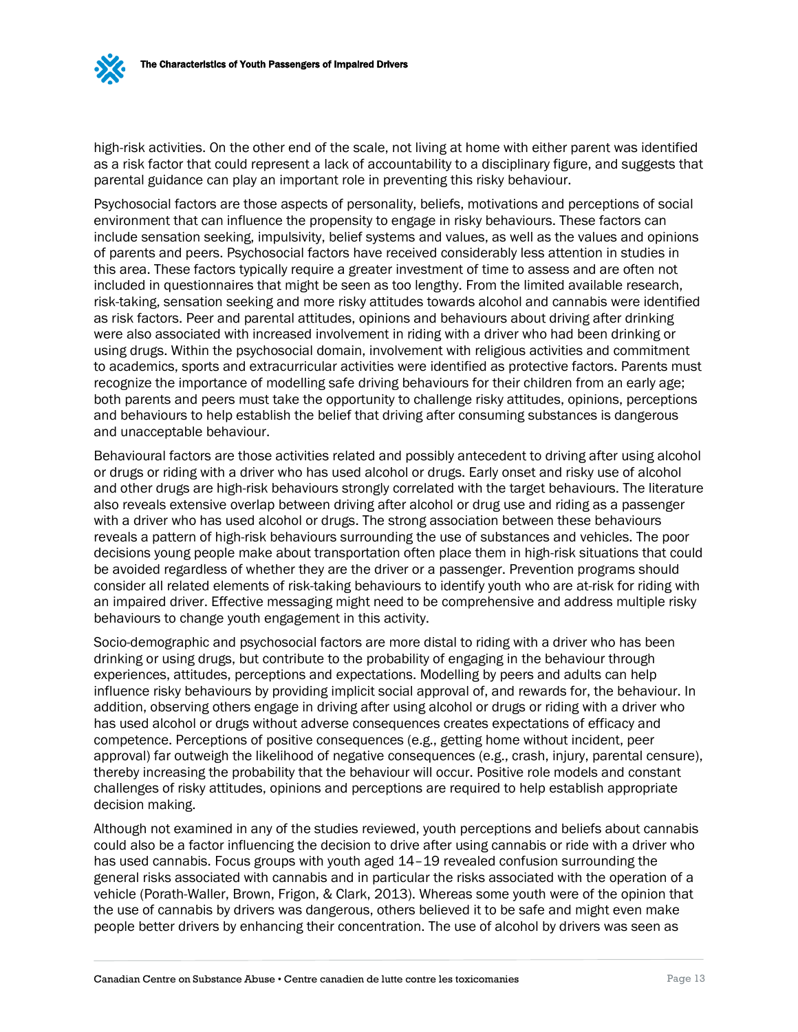

high-risk activities. On the other end of the scale, not living at home with either parent was identified as a risk factor that could represent a lack of accountability to a disciplinary figure, and suggests that parental guidance can play an important role in preventing this risky behaviour.

Psychosocial factors are those aspects of personality, beliefs, motivations and perceptions of social environment that can influence the propensity to engage in risky behaviours. These factors can include sensation seeking, impulsivity, belief systems and values, as well as the values and opinions of parents and peers. Psychosocial factors have received considerably less attention in studies in this area. These factors typically require a greater investment of time to assess and are often not included in questionnaires that might be seen as too lengthy. From the limited available research, risk-taking, sensation seeking and more risky attitudes towards alcohol and cannabis were identified as risk factors. Peer and parental attitudes, opinions and behaviours about driving after drinking were also associated with increased involvement in riding with a driver who had been drinking or using drugs. Within the psychosocial domain, involvement with religious activities and commitment to academics, sports and extracurricular activities were identified as protective factors. Parents must recognize the importance of modelling safe driving behaviours for their children from an early age; both parents and peers must take the opportunity to challenge risky attitudes, opinions, perceptions and behaviours to help establish the belief that driving after consuming substances is dangerous and unacceptable behaviour.

Behavioural factors are those activities related and possibly antecedent to driving after using alcohol or drugs or riding with a driver who has used alcohol or drugs. Early onset and risky use of alcohol and other drugs are high-risk behaviours strongly correlated with the target behaviours. The literature also reveals extensive overlap between driving after alcohol or drug use and riding as a passenger with a driver who has used alcohol or drugs. The strong association between these behaviours reveals a pattern of high-risk behaviours surrounding the use of substances and vehicles. The poor decisions young people make about transportation often place them in high-risk situations that could be avoided regardless of whether they are the driver or a passenger. Prevention programs should consider all related elements of risk-taking behaviours to identify youth who are at-risk for riding with an impaired driver. Effective messaging might need to be comprehensive and address multiple risky behaviours to change youth engagement in this activity.

Socio-demographic and psychosocial factors are more distal to riding with a driver who has been drinking or using drugs, but contribute to the probability of engaging in the behaviour through experiences, attitudes, perceptions and expectations. Modelling by peers and adults can help influence risky behaviours by providing implicit social approval of, and rewards for, the behaviour. In addition, observing others engage in driving after using alcohol or drugs or riding with a driver who has used alcohol or drugs without adverse consequences creates expectations of efficacy and competence. Perceptions of positive consequences (e.g., getting home without incident, peer approval) far outweigh the likelihood of negative consequences (e.g., crash, injury, parental censure), thereby increasing the probability that the behaviour will occur. Positive role models and constant challenges of risky attitudes, opinions and perceptions are required to help establish appropriate decision making.

Although not examined in any of the studies reviewed, youth perceptions and beliefs about cannabis could also be a factor influencing the decision to drive after using cannabis or ride with a driver who has used cannabis. Focus groups with youth aged  $14$ -19 revealed confusion surrounding the general risks associated with cannabis and in particular the risks associated with the operation of a vehicle (Porath-Waller, Brown, Frigon, & Clark, 2013). Whereas some youth were of the opinion that the use of cannabis by drivers was dangerous, others believed it to be safe and might even make people better drivers by enhancing their concentration. The use of alcohol by drivers was seen as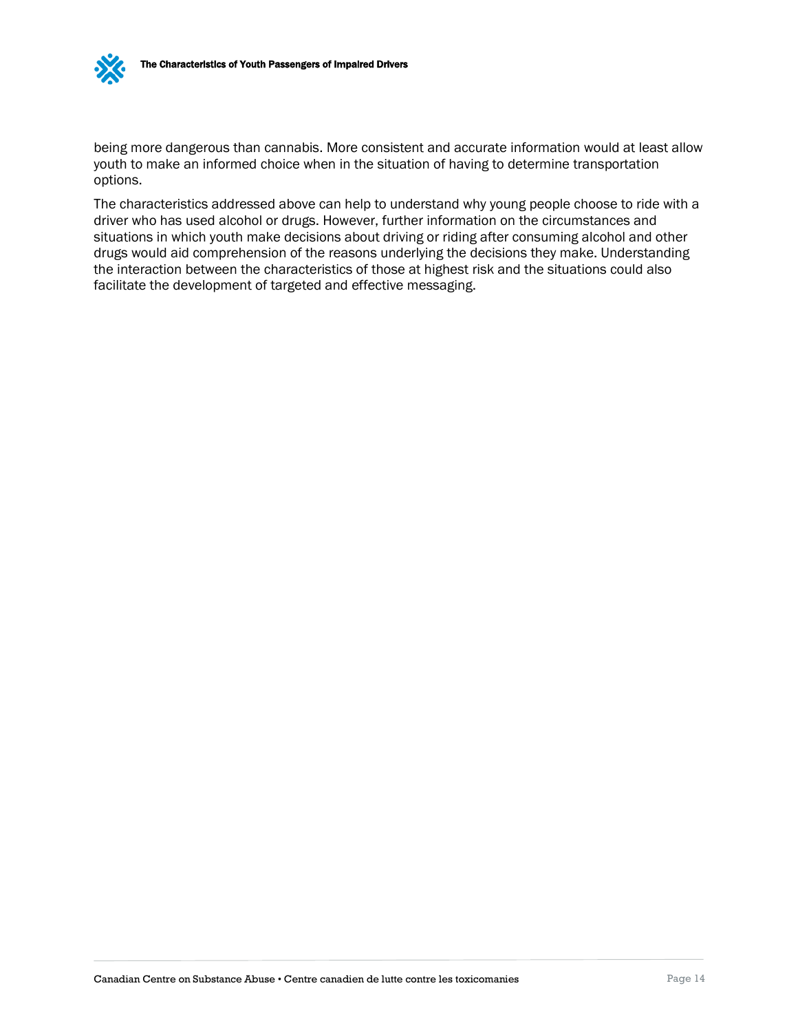

being more dangerous than cannabis. More consistent and accurate information would at least allow youth to make an informed choice when in the situation of having to determine transportation options.

The characteristics addressed above can help to understand why young people choose to ride with a driver who has used alcohol or drugs. However, further information on the circumstances and situations in which youth make decisions about driving or riding after consuming alcohol and other drugs would aid comprehension of the reasons underlying the decisions they make. Understanding the interaction between the characteristics of those at highest risk and the situations could also facilitate the development of targeted and effective messaging.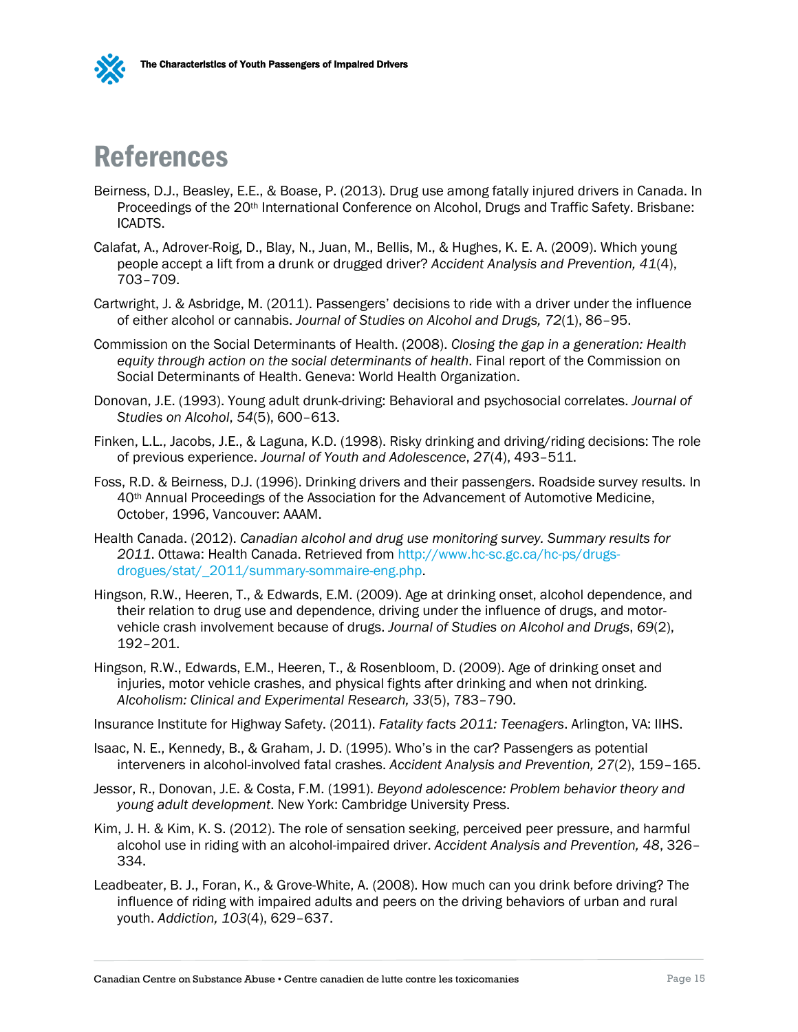



## <span id="page-18-0"></span>References

- Beirness, D.J., Beasley, E.E., & Boase, P. (2013). Drug use among fatally injured drivers in Canada. In Proceedings of the 20<sup>th</sup> International Conference on Alcohol, Drugs and Traffic Safety. Brisbane: ICADTS.
- Calafat, A., Adrover-Roig, D., Blay, N., Juan, M., Bellis, M., & Hughes, K. E. A. (2009). Which young people accept a lift from a drunk or drugged driver? *Accident Analysis and Prevention, 41*(4), 703–709.
- Cartwright, J. & Asbridge, M. (2011). Passengers' decisions to ride with a driver under the influence of either alcohol or cannabis. *Journal of Studies on Alcohol and Drugs, 72*(1), 86–95.
- Commission on the Social Determinants of Health. (2008). *Closing the gap in a generation: Health equity through action on the social determinants of health*. Final report of the Commission on Social Determinants of Health. Geneva: World Health Organization.
- Donovan, J.E. (1993). Young adult drunk-driving: Behavioral and psychosocial correlates. *Journal of Studies on Alcohol*, *54*(5), 600–613.
- Finken, L.L., Jacobs, J.E., & Laguna, K.D. (1998). Risky drinking and driving/riding decisions: The role of previous experience. *Journal of Youth and Adolescence*, *27*(4), 493–511.
- Foss, R.D. & Beirness, D.J. (1996). Drinking drivers and their passengers. Roadside survey results. In 40th Annual Proceedings of the Association for the Advancement of Automotive Medicine, October, 1996, Vancouver: AAAM.
- Health Canada. (2012). *Canadian alcohol and drug use monitoring survey. Summary results for 2011*. Ottawa: Health Canada. Retrieved from [http://www.hc-sc.gc.ca/hc-ps/drugs](http://www.hc-sc.gc.ca/hc-ps/drugs-drogues/stat/_2011/summary-sommaire-eng.php)[drogues/stat/\\_2011/summary-sommaire-eng.php.](http://www.hc-sc.gc.ca/hc-ps/drugs-drogues/stat/_2011/summary-sommaire-eng.php)
- Hingson, R.W., Heeren, T., & Edwards, E.M. (2009). Age at drinking onset, alcohol dependence, and their relation to drug use and dependence, driving under the influence of drugs, and motorvehicle crash involvement because of drugs. *Journal of Studies on Alcohol and Drugs*, *69*(2), 192–201.
- Hingson, R.W., Edwards, E.M., Heeren, T., & Rosenbloom, D. (2009). Age of drinking onset and injuries, motor vehicle crashes, and physical fights after drinking and when not drinking. *Alcoholism: Clinical and Experimental Research, 33*(5), 783–790.
- Insurance Institute for Highway Safety. (2011). *Fatality facts 2011: Teenagers*. Arlington, VA: IIHS.
- Isaac, N. E., Kennedy, B., & Graham, J. D. (1995). Who's in the car? Passengers as potential interveners in alcohol-involved fatal crashes. *Accident Analysis and Prevention, 27*(2), 159–165.
- Jessor, R., Donovan, J.E. & Costa, F.M. (1991). *Beyond adolescence: Problem behavior theory and young adult development*. New York: Cambridge University Press.
- Kim, J. H. & Kim, K. S. (2012). The role of sensation seeking, perceived peer pressure, and harmful alcohol use in riding with an alcohol-impaired driver. *Accident Analysis and Prevention, 48*, 326– 334.
- Leadbeater, B. J., Foran, K., & Grove-White, A. (2008). How much can you drink before driving? The influence of riding with impaired adults and peers on the driving behaviors of urban and rural youth. *Addiction, 103*(4), 629–637.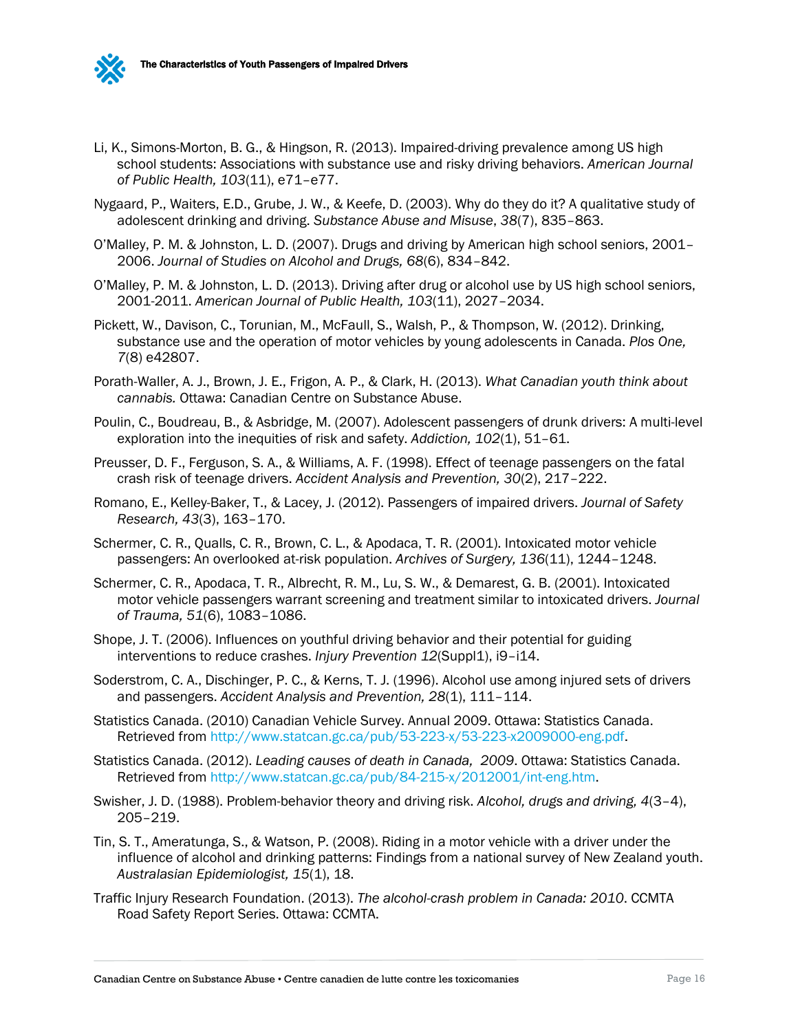

- Li, K., Simons-Morton, B. G., & Hingson, R. (2013). Impaired-driving prevalence among US high school students: Associations with substance use and risky driving behaviors. *American Journal of Public Health, 103*(11), e71–e77.
- Nygaard, P., Waiters, E.D., Grube, J. W., & Keefe, D. (2003). Why do they do it? A qualitative study of adolescent drinking and driving. *Substance Abuse and Misuse*, *38*(7), 835–863.
- O'Malley, P. M. & Johnston, L. D. (2007). Drugs and driving by American high school seniors, 2001– 2006. *Journal of Studies on Alcohol and Drugs, 68*(6), 834–842.
- O'Malley, P. M. & Johnston, L. D. (2013). Driving after drug or alcohol use by US high school seniors, 2001-2011. *American Journal of Public Health, 103*(11), 2027–2034.
- Pickett, W., Davison, C., Torunian, M., McFaull, S., Walsh, P., & Thompson, W. (2012). Drinking, substance use and the operation of motor vehicles by young adolescents in Canada. *Plos One, 7*(8) e42807.
- Porath-Waller, A. J., Brown, J. E., Frigon, A. P., & Clark, H. (2013). *What Canadian youth think about cannabis.* Ottawa: Canadian Centre on Substance Abuse.
- Poulin, C., Boudreau, B., & Asbridge, M. (2007). Adolescent passengers of drunk drivers: A multi-level exploration into the inequities of risk and safety. *Addiction, 102*(1), 51–61.
- Preusser, D. F., Ferguson, S. A., & Williams, A. F. (1998). Effect of teenage passengers on the fatal crash risk of teenage drivers. *Accident Analysis and Prevention, 30*(2), 217–222.
- Romano, E., Kelley-Baker, T., & Lacey, J. (2012). Passengers of impaired drivers. *Journal of Safety Research, 43*(3), 163–170.
- Schermer, C. R., Qualls, C. R., Brown, C. L., & Apodaca, T. R. (2001). Intoxicated motor vehicle passengers: An overlooked at-risk population. *Archives of Surgery, 136*(11), 1244–1248.
- Schermer, C. R., Apodaca, T. R., Albrecht, R. M., Lu, S. W., & Demarest, G. B. (2001). Intoxicated motor vehicle passengers warrant screening and treatment similar to intoxicated drivers. *Journal of Trauma, 51*(6), 1083–1086.
- Shope, J. T. (2006). Influences on youthful driving behavior and their potential for guiding interventions to reduce crashes. *Injury Prevention 12*(Suppl1), i9-i14.
- Soderstrom, C. A., Dischinger, P. C., & Kerns, T. J. (1996). Alcohol use among injured sets of drivers and passengers. *Accident Analysis and Prevention, 28*(1), 111–114.
- Statistics Canada. (2010) Canadian Vehicle Survey. Annual 2009. Ottawa: Statistics Canada. Retrieved from [http://www.statcan.gc.ca/pub/53-223-x/53-223-x2009000-eng.pdf.](http://www.statcan.gc.ca/pub/53-223-x/53-223-x2009000-eng.pdf)
- Statistics Canada. (2012). *Leading causes of death in Canada, 2009*. Ottawa: Statistics Canada. Retrieved from [http://www.statcan.gc.ca/pub/84-215-x/2012001/int-eng.htm.](http://www.statcan.gc.ca/pub/84-215-x/2012001/int-eng.htm)
- Swisher, J. D. (1988). Problem-behavior theory and driving risk. *Alcohol, drugs and driving, 4*(3–4), 205–219.
- Tin, S. T., Ameratunga, S., & Watson, P. (2008). Riding in a motor vehicle with a driver under the influence of alcohol and drinking patterns: Findings from a national survey of New Zealand youth. *Australasian Epidemiologist, 15*(1), 18.
- Traffic Injury Research Foundation. (2013). *The alcohol-crash problem in Canada: 2010*. CCMTA Road Safety Report Series. Ottawa: CCMTA.